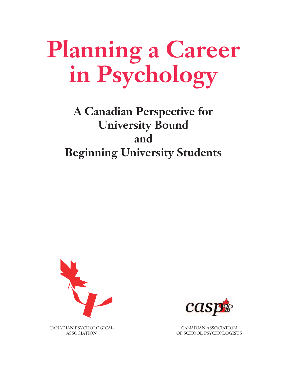# **Planning a Career in Psychology**

# **A Canadian Perspective for University Bound and Beginning University Students**





CANADIAN ASSOCIATION OF SCHOOL PSYCHOLOGISTS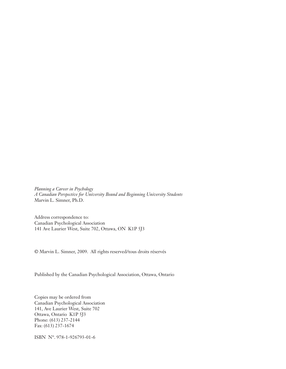*Planning a Career in Psychology A Canadian Perspective for University Bound and Beginning University Students* Marvin L. Simner, Ph.D.

Address correspondence to: Canadian Psychological Association 141 Ave Laurier West, Suite 702, Ottawa, ON K1P 5J3

© Marvin L. Simner, 2009. All rights reserved/tous droits réservés

Published by the Canadian Psychological Association, Ottawa, Ontario

Copies may be ordered from Canadian Psychological Association 141, Ave Laurier West, Suite 702 Ottawa, Ontario K1P 5J3 Phone: (613) 237-2144 Fax: (613) 237-1674

ISBN N°. 978-1-926793-01-6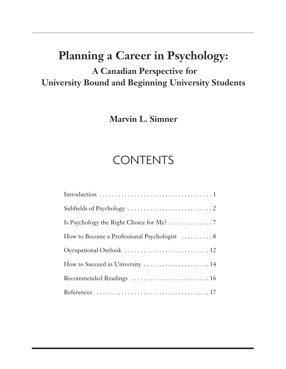# **Planning a Career in Psychology:**

# **A Canadian Perspective for University Bound and Beginning University Students**

**Marvin L. Simner** 

# **CONTENTS**

| Is Psychology the Right Choice for Me? $\dots\dots\dots\dots$ . 7 |
|-------------------------------------------------------------------|
|                                                                   |
|                                                                   |
| How to Succeed in University  14                                  |
| Recommended Readings  16                                          |
|                                                                   |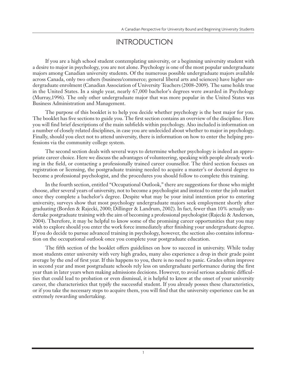### INTRODUCTION

If you are a high school student contemplating university, or a beginning university student with a desire to major in psychology, you are not alone. Psychology is one of the most popular undergraduate majors among Canadian university students. Of the numerous possible undergraduate majors available across Canada, only two others (business/commerce; general liberal arts and sciences) have higher undergraduate enrolment (Canadian Association of University Teachers (2008-2009). The same holds true in the United States. In a single year, nearly 67,000 bachelor's degrees were awarded in Psychology (Murray,1996). The only other undergraduate major that was more popular in the United States was Business Administration and Management.

The purpose of this booklet is to help you decide whether psychology is the best major for you. The booklet has five sections to guide you. The first section contains an overview of the discipline. Here you will find brief descriptions of the main subfields within psychology. Also included is information on a number of closely related disciplines, in case you are undecided about whether to major in psychology. Finally, should you elect not to attend university, there is information on how to enter the helping professions via the community college system.

The second section deals with several ways to determine whether psychology is indeed an appropriate career choice. Here we discuss the advantages of volunteering, speaking with people already working in the field, or contacting a professionally trained career counsellor. The third section focuses on registration or licensing, the postgraduate training needed to acquire a master's or doctoral degree to become a professional psychologist, and the procedures you should follow to complete this training.

In the fourth section, entitled "Occupational Outlook," there are suggestions for those who might choose, after several years of university, not to become a psychologist and instead to enter the job market once they complete a bachelor's degree. Despite what may be your inital intention prior to entering university, surveys show that most psychology undergraduate majors seek employment shortly after graduating (Borden & Rajecki, 2000; Dillinger & Landrum, 2002). In fact, fewer than 10% actually undertake postgraduate training with the aim of becoming a professional psychologist (Rajecki & Anderson, 2004). Therefore, it may be helpful to know some of the promising career opportunities that you may wish to explore should you enter the work force immediately after finishing your undergraduate degree. If you do decide to pursue advanced training in psychology, however, the section also contains information on the occupational outlook once you complete your postgraduate education.

The fifth section of the booklet offers guidelines on how to succeed in university. While today most students enter university with very high grades, many also experience a drop in their grade point average by the end of first year. If this happens to you, there is no need to panic. Grades often improve in second year and most postgraduate schools rely less on undergraduate performance during the first year than in later years when making admissions decisions. However, to avoid serious academic difficulties that could lead to probation or even dismissal, it is helpful to know at the onset of your university career, the characteristics that typify the successful student. If you already posses these characteristics, or if you take the necessary steps to acquire them, you will find that the university experience can be an extremely rewarding undertaking.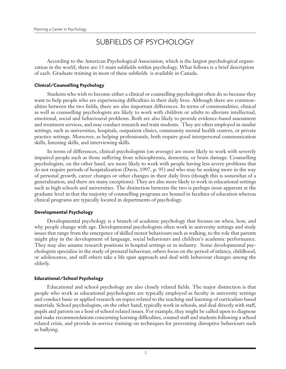# SUBFIELDS OF PSYCHOLOGY

According to the American Psychological Association, which is the largest psychological organization in the world, there are 13 main subfields within psychology. What follows is a brief description of each. Graduate training in most of these subfields is available in Canada.

#### **Clinical/Counselling Psychology**

Students who wish to become either a clinical or counselling psychologist often do so because they want to help people who are experiencing difficulties in their daily lives. Although there are commonalities between the two fields, there are also important differences. In terms of commonalities, clinical as well as counselling psychologists are likely to work with children or adults to alleviate intellectual, emotional, social and behavioural problems. Both are also likely to provide evidence-based assessment and treatment services, and may conduct research and train students. They are often employed in similar settings, such as universities, hospitals, outpatient clinics, community mental health centres, or private practice settings. Moreover, as helping professionals, both require good interpersonal communication skills, listening skills, and interviewing skills.

In terms of differences, clinical psychologists (on average) are more likely to work with severely impaired people such as those suffering from schizophrenia, dementia, or brain damage. Counselling psychologists, on the other hand, are more likely to work with people having less severe problems that do not require periods of hospitalization (Davis, 1997, p. 95) and who may be seeking more in the way of personal growth, career changes or other changes in their daily lives (though this is somewhat of a generalization, and there are many exceptions). They are also more likely to work in educational settings such as high schools and universities. The distinction between the two is perhaps most apparent at the graduate level in that the majority of counselling programs are housed in faculties of education whereas clinical programs are typically located in departments of psychology.

#### **Developmental Psychology**

Developmental psychology is a branch of academic psychology that focuses on when, how, and why people change with age. Developmental psychologists often work in university settings and study issues that range from the emergence of skilled motor behaviours such as walking, to the role that parents might play in the development of language, social behaviours and children's academic performance. They may also assume research positions in hospital settings or in industry. Some developmental psychologists specialize in the study of prenatal behaviour, others focus on the period of infancy, childhood, or adolescence, and still others take a life span approach and deal with behaviour changes among the elderly.

#### **Educational/School Psychology**

Educational and school psychology are also closely related fields. The major distinction is that people who work as educational psychologists are typically employed as faculty in university settings and conduct basic or applied research on topics related to the teaching and learning of curriculum based materials. School psychologists, on the other hand, typically work in schools, and deal directly with staff, pupils and parents on a host of school related issues. For example, they might be called upon to diagnose and make recommendations concerning learning difficulties, counsel staff and students following a school related crisis, and provide in-service training on techniques for preventing disruptive behaviours such as bullying.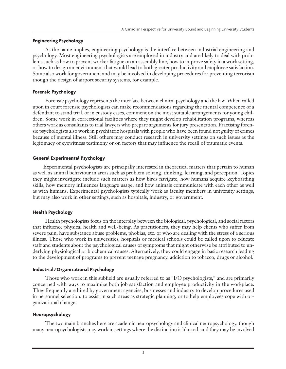#### **Engineering Psychology**

As the name implies, engineering psychology is the interface between industrial engineering and psychology. Most engineering psychologists are employed in industry and are likely to deal with problems such as how to prevent worker fatigue on an assembly line, how to improve safety in a work setting, or how to design an environment that would lead to both greater productivity and employee satisfaction. Some also work for government and may be involved in developing procedures for preventing terrorism though the design of airport security systems, for example.

#### **Forensic Psychology**

Forensic psychology represents the interface between clinical psychology and the law. When called upon in court forensic psychologists can make recommendations regarding the mental competence of a defendant to stand trial, or in custody cases, comment on the most suitable arrangements for young children. Some work in correctional facilities where they might develop rehabilitation programs, whereas others work as consultants to trial lawyers who prepare arguments for jury presentation. Practising forensic psychologists also work in psychiatric hospitals with people who have been found not guilty of crimes because of mental illness. Still others may conduct research in university settings on such issues as the legitimacy of eyewitness testimony or on factors that may influence the recall of traumatic events.

#### **General Experimental Psychology**

Experimental psychologists are principally interested in theoretical matters that pertain to human as well as animal behaviour in areas such as problem solving, thinking, learning, and perception. Topics they might investigate include such matters as how birds navigate, how humans acquire keyboarding skills, how memory influences language usage, and how animals communicate with each other as well as with humans. Experimental psychologists typically work as faculty members in university settings, but may also work in other settings, such as hospitals, industry, or government.

#### **Health Psychology**

Health psychologists focus on the interplay between the biological, psychological, and social factors that influence physical health and well-being. As practitioners, they may help clients who suffer from severe pain, have substance abuse problems, phobias, etc. or who are dealing with the stress of a serious illness. Those who work in universities, hospitals or medical schools could be called upon to educate staff and students about the psychological causes of symptoms that might otherwise be attributed to underlying physiological or biochemical causes. Alternatively, they could engage in basic research leading to the development of programs to prevent teenage pregnancy, addiction to tobacco, drugs or alcohol.

#### **Industrial/Organizational Psychology**

Those who work in this subfield are usually referred to as "I/O psychologists," and are primarily concerned with ways to maximize both job satisfaction and employee productivity in the workplace. They frequently are hired by government agencies, businesses and industry to develop procedures used in personnel selection, to assist in such areas as strategic planning, or to help employees cope with organizational change.

#### **Neuropsychology**

The two main branches here are academic neuropsychology and clinical neuropsychology, though many neuropsychologists may work in settings where the distinction is blurred, and they may be involved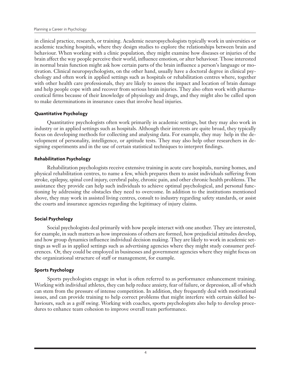in clinical practice, research, or training. Academic neuropsychologists typically work in universities or academic teaching hospitals, where they design studies to explore the relationships between brain and behaviour. When working with a clinic population, they might examine how diseases or injuries of the brain affect the way people perceive their world, influence emotion, or alter behaviour. Those interested in normal brain function might ask how certain parts of the brain influence a person's language or motivation. Clinical neuropsychologists, on the other hand, usually have a doctoral degree in clinical psychology and often work in applied settings such as hospitals or rehabilitation centres where, together with other health care professionals, they are likely to assess the impact and location of brain damage and help people cope with and recover from serious brain injuries. They also often work with pharmaceutical firms because of their knowledge of physiology and drugs, and they might also be called upon to make determinations in insurance cases that involve head injuries.

#### **Quantitative Psychology**

Quantitative psychologists often work primarily in academic settings, but they may also work in industry or in applied settings such as hospitals. Although their interests are quite broad, they typically focus on developing methods for collecting and analysing data. For example, they may help in the development of personality, intelligence, or aptitude tests. They may also help other researchers in designing experiments and in the use of certain statistical techniques to interpret findings.

#### **Rehabilitation Psychology**

Rehabilitation psychologists receive extensive training in acute care hospitals, nursing homes, and physical rehabilitation centres, to name a few, which prepares them to assist individuals suffering from stroke, epilepsy, spinal cord injury, cerebral palsy, chronic pain, and other chronic health problems. The assistance they provide can help such individuals to achieve optimal psychological, and personal functioning by addressing the obstacles they need to overcome. In addition to the institutions mentioned above, they may work in assisted living centres, consult to industry regarding safety standards, or assist the courts and insurance agencies regarding the legitimacy of injury claims.

#### **Social Psychology**

Social psychologists deal primarily with how people interact with one another. They are interested, for example, in such matters as how impressions of others are formed, how prejudicial attitudes develop, and how group dynamics influence individual decision making. They are likely to work in academic settings as well as in applied settings such as advertising agencies where they might study consumer preferences. Or, they could be employed in businesses and government agencies where they might focus on the organizational structure of staff or management, for example.

#### **Sports Psychology**

Sports psychologists engage in what is often referred to as performance enhancement training. Working with individual athletes, they can help reduce anxiety, fear of failure, or depression, all of which can stem from the pressure of intense competition. In addition, they frequently deal with motivational issues, and can provide training to help correct problems that might interfere with certain skilled behaviours, such as a golf swing. Working with coaches, sports psychologists also help to develop procedures to enhance team cohesion to improve overall team performance.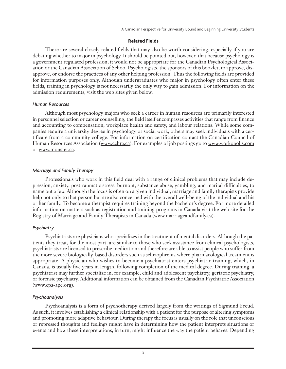#### **Related Fields**

There are several closely related fields that may also be worth considering, especially if you are debating whether to major in psychology. It should be pointed out, however, that because psychology is a government regulated profession, it would not be appropriate for the Canadian Psychological Association or the Canadian Association of School Psychologists, the sponsors of this booklet, to approve, disapprove, or endorse the practices of any other helping profession. Thus the following fields are provided for information purposes only. Although undergraduates who major in psychology often enter these fields, training in psychology is not necessarily the only way to gain admission. For information on the admission requirements, visit the web sites given below.

#### *Human Resources*

Although most psychology majors who seek a career in human resources are primarily interested in personnel selection or career counselling, the field itself encompasses activities that range from finance and accounting to compensation, workplace health and safety, and labour relations. While some companies require a university degree in psychology or social work, others may seek individuals with a certificate from a community college. For information on certification contact the Canadian Council of Human Resources Association (www.cchra.ca). For examples of job postings go to www.workopolis.com or www.monster.ca.

#### *Marriage and Family Therapy*

Professionals who work in this field deal with a range of clinical problems that may include depression, anxiety, posttraumatic stress, burnout, substance abuse, gambling, and marital difficulties, to name but a few. Although the focus is often on a given individual, marriage and family therapists provide help not only to that person but are also concerned with the overall well-being of the individual and his or her family. To become a therapist requires training beyond the bachelor's degree. For more detailed information on matters such as registration and training programs in Canada visit the web site for the Registry of Marriage and Family Therapists in Canada (www.marriageandfamily.ca).

#### *Psychiatry*

Psychiatrists are physicians who specializes in the treatment of mental disorders. Although the patients they treat, for the most part, are similar to those who seek assistance from clinical psychologists, psychiatrists are licensed to prescribe medication and therefore are able to assist people who suffer from the more severe biologically-based disorders such as schizophrenia where pharmacological treatment is appropriate. A physician who wishes to become a psychiatrist enters psychiatric training, which, in Canada, is usually five years in length, following completion of the medical degree. During training, a psychiatrist may further specialize in, for example, child and adolescent psychiatry, geriatric psychiatry, or forensic psychiatry. Additional information can be obtained from the Canadian Psychiatric Association (www.cpa-apc.org).

#### *Psychoanalysis*

Psychoanalysis is a form of psychotherapy derived largely from the writings of Sigmund Freud. As such, it involves establishing a clinical relationship with a patient for the purpose of altering symptoms and promoting more adaptive behaviour. During therapy the focus is usually on the role that unconscious or repressed thoughts and feelings might have in determining how the patient interprets situations or events and how these interpretations, in turn, might influence the way the patient behaves. Depending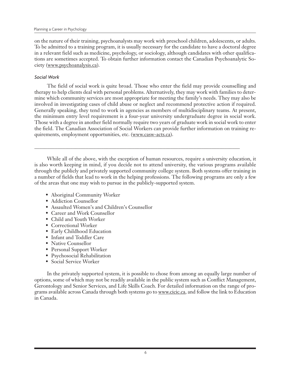on the nature of their training, psychoanalysts may work with preschool children, adolescents, or adults. To be admitted to a training program, it is usually necessary for the candidate to have a doctoral degree in a relevant field such as medicine, psychology, or sociology, although candidates with other qualifications are sometimes accepted. To obtain further information contact the Canadian Psychoanalytic Society (www.psychoanalysis.ca).

#### *Social Work*

The field of social work is quite broad. Those who enter the field may provide counselling and therapy to help clients deal with personal problems. Alternatively, they may work with families to determine which community services are most appropriate for meeting the family's needs. They may also be involved in investigating cases of child abuse or neglect and recommend protective action if required. Generally speaking, they tend to work in agencies as members of multidisciplinary teams. At present, the minimum entry level requirement is a four-year university undergraduate degree in social work. Those with a degree in another field normally require two years of graduate work in social work to enter the field. The Canadian Association of Social Workers can provide further information on training requirements, employment opportunities, etc. (www.casw-acts.ca).

While all of the above, with the exception of human resources, require a university education, it is also worth keeping in mind, if you decide not to attend university, the various programs available through the publicly and privately supported community college system. Both systems offer training in a number of fields that lead to work in the helping professions. The following programs are only a few of the areas that one may wish to pursue in the publicly-supported system.

\_\_\_\_\_\_\_\_\_\_\_\_\_\_\_\_\_\_\_\_\_\_\_\_\_\_\_\_\_\_\_\_\_\_\_\_\_\_\_\_\_\_\_\_\_\_\_\_\_\_\_\_\_\_\_\_\_\_\_\_\_\_\_\_\_\_\_\_\_\_\_\_\_\_\_\_\_\_\_\_

- Aboriginal Community Worker
- Addiction Counsellor
- Assaulted Women's and Children's Counsellor
- Career and Work Counsellor
- Child and Youth Worker
- Correctional Worker
- Early Childhood Education
- Infant and Toddler Care
- Native Counsellor
- Personal Support Worker
- Psychosocial Rehabilitation
- Social Service Worker

In the privately supported system, it is possible to chose from among an equally large number of options, some of which may not be readily available in the public system such as Conflict Management, Gerontology and Senior Services, and Life Skills Coach. For detailed information on the range of programs available across Canada through both systems go to www.cicic.ca, and follow the link to Education in Canada.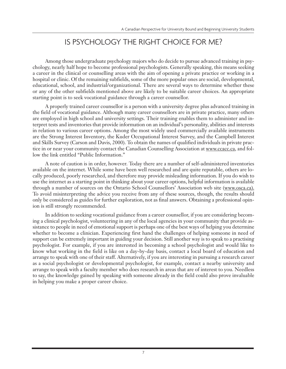# IS PSYCHOLOGY THE RIGHT CHOICE FOR ME?

Among those undergraduate psychology majors who do decide to pursue advanced training in psychology, nearly half hope to become professional psychologists. Generally speaking, this means seeking a career in the clinical or counselling areas with the aim of opening a private practice or working in a hospital or clinic. Of the remaining subfields, some of the more popular ones are social, developmental, educational, school, and industrial/organizational. There are several ways to determine whether these or any of the other subfields mentioned above are likely to be suitable career choices. An appropriate starting point is to seek vocational guidance through a career counsellor.

A properly trained career counsellor is a person with a university degree plus advanced training in the field of vocational guidance. Although many career counsellors are in private practice, many others are employed in high school and university settings. Their training enables them to administer and interpret tests and inventories that provide information on an individual's personality, abilities and interests in relation to various career options. Among the most widely used commercially available instruments are the Strong Interest Inventory, the Kuder Occupational Interest Survey, and the Campbell Interest and Skills Survey (Carson and Davis, 2000). To obtain the names of qualified individuals in private practice in or near your community contact the Canadian Counselling Association at www.ccacc.ca, and follow the link entitled "Public Information."

A note of caution is in order, however. Today there are a number of self-administered inventories available on the internet. While some have been well researched and are quite reputable, others are locally produced, poorly researched, and therefore may provide misleading information. If you do wish to use the internet as a starting point in thinking about your career options, helpful information is available through a number of sources on the Ontario School Counsellors' Association web site (www.osca.ca). To avoid misinterpreting the advice you receive from any of these sources, though, the results should only be considered as guides for further exploration, not as final answers. Obtaining a professional opinion is still strongly recommended.

In addition to seeking vocational guidance from a career counsellor, if you are considering becoming a clinical psychologist, volunteering in any of the local agencies in your community that provide assistance to people in need of emotional support is perhaps one of the best ways of helping you determine whether to become a clinician. Experiencing first hand the challenges of helping someone in need of support can be extremely important in guiding your decision. Still another way is to speak to a practising psychologist. For example, if you are interested in becoming a school psychologist and would like to know what working in the field is like on a day-by-day basis, contact a local board of education and arrange to speak with one of their staff. Alternatively, if you are interesting in pursuing a research career as a social psychologist or developmental psychologist, for example, contact a nearby university and arrange to speak with a faculty member who does research in areas that are of interest to you. Needless to say, the knowledge gained by speaking with someone already in the field could also prove invaluable in helping you make a proper career choice.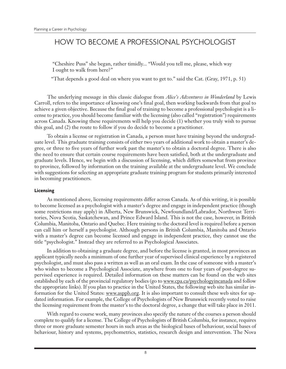## HOW TO BECOME A PROFESSIONAL PSYCHOLOGIST

"Cheshire Puss" she began, rather timidly... "Would you tell me, please, which way I ought to walk from here?"

"That depends a good deal on where you want to get to." said the Cat. (Gray, 1971, p. 51)

The underlying message in this classic dialogue from *Alice's Adventures in Wonderland* by Lewis Carroll, refers to the importance of knowing one's final goal, then working backwards from that goal to achieve a given objective. Because the final goal of training to become a professional psychologist is a license to practice, you should become familiar with the licensing (also called "registration") requirements across Canada. Knowing these requirements will help you decide (1) whether you truly wish to pursue this goal, and (2) the route to follow if you do decide to become a practitioner.

To obtain a license or registration in Canada, a person must have training beyond the undergraduate level. This graduate training consists of either two years of additional work to obtain a master's degree, or three to five years of further work past the master's to obtain a doctoral degree. There is also the need to ensure that certain course requirements have been satisfied, both at the undergraduate and graduate levels. Hence, we begin with a discussion of licensing, which differs somewhat from province to province, followed by information on the training available at the undergraduate level. We conclude with suggestions for selecting an appropriate graduate training program for students primarily interested in becoming practitioners.

#### **Licensing**

As mentioned above, licensing requirements differ across Canada. As of this writing, it is possible to become licensed as a psychologist with a master's degree and engage in independent practice (though some restrictions may apply) in Alberta, New Brunswick, Newfoundland/Labrador, Northwest Territories, Nova Scotia, Saskatchewan, and Prince Edward Island. This is not the case, however, in British Columbia, Manitoba, Ontario and Quebec. Here training to the doctoral level is required before a person can call him or herself a psychologist. Although persons in British Columbia, Manitoba and Ontario with a master's degree can become licensed and engage in independent practice, they cannot use the title "psychologist." Instead they are referred to as Psychological Associates.

In addition to obtaining a graduate degree, and before the license is granted, in most provinces an applicant typically needs a minimum of one further year of supervised clinical experience by a registered psychologist, and must also pass a written as well as an oral exam. In the case of someone with a master's who wishes to become a Psychological Associate, anywhere from one to four years of post-degree supervised experience is required. Detailed information on these matters can be found on the web sites established by each of the provincial regulatory bodies (go to www.cpa.ca/psychologyincanada and follow the appropriate links). If you plan to practice in the United States, the following web site has similar information for the United States: www.asppb.org. It is also important to consult these web sites for updated information. For example, the College of Psychologists of New Brunswick recently voted to raise the licensing requirement from the master's to the doctoral degree, a change that will take place in 2011.

With regard to course work, many provinces also specify the nature of the courses a person should complete to qualify for a license. The College of Psychologists of British Columbia, for instance, requires three or more graduate semester hours in such areas as the biological bases of behaviour, social bases of behaviour, history and systems, psychometrics, statistics, research design and intervention. The Nova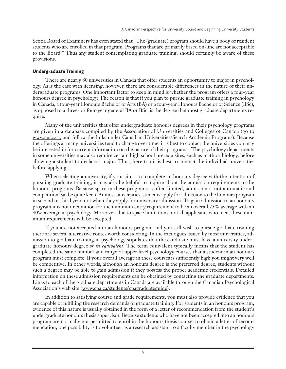Scotia Board of Examiners has even stated that "The (graduate) program should have a body of resident students who are enrolled in that program. Programs that are primarily based on-line are not acceptable to the Board." Thus any student contemplating graduate training, should certainly be aware of these provisions.

#### **Undergraduate Training**

There are nearly 80 universities in Canada that offer students an opportunity to major in psychology. As is the case with licensing, however, there are considerable differences in the nature of their undergraduate programs. One important factor to keep in mind is whether the program offers a four-year honours degree in psychology. The reason is that if you plan to pursue graduate training in psychology in Canada, a four-year Honours Bachelor of Arts (BA) or a four-year Honours Bachelor of Science (BSc), as opposed to a three- or four-year general BA or BSc, is the degree that most graduate departments require.

Many of the universities that offer undergraduate honours degrees in their psychology programs are given in a database compiled by the Association of Universities and Colleges of Canada (go to www.aucc.ca, and follow the links under Canadian Universities/Search Academic Programs). Because the offerings at many universities tend to change over time, it is best to contact the universities you may be interested in for current information on the nature of their programs. The psychology departments in some universities may also require certain high school prerequisites, such as math or biology, before allowing a student to declare a major. Thus, here too it is best to contact the individual universities before applying.

When selecting a university, if your aim is to complete an honours degree with the intention of pursuing graduate training, it may also be helpful to inquire about the admission requirements to the honours programs. Because space in these programs is often limited, admission is not automatic and competition can be quite keen. At most universities, students apply for admission to the honours program in second or third year, not when they apply for university admission. To gain admission to an honours program it is not uncommon for the minimum entry requirement to be an overall 75% average with an 80% average in psychology. Moreover, due to space limitations, not all applicants who meet these minimum requirements will be accepted.

If you are not accepted into an honours program and you still wish to pursue graduate training there are several alternative routes worth considering. In the catalogues issued by most universities, admission to graduate training in psychology stipulates that the candidate must have a university undergraduate honours degree *or its equivalent*. The term equivalent typically means that the student has completed the same number and range of upper level psychology courses that a student in an honours program must complete. If your overall average in these courses is sufficiently high you might very well be competitive. In other words, although an honours degree is the preferred degree, students without such a degree may be able to gain admission if they possess the proper academic credentials. Detailed information on these admission requirements can be obtained by contacting the graduate departments. Links to each of the graduate departments in Canada are available through the Canadian Psychological Association's web site (www.cpa.ca/students/cpagraduateguide).

In addition to satisfying course and grade requirements, you must also provide evidence that you are capable of fulfilling the research demands of graduate training. For students in an honours program, evidence of this nature is usually obtained in the form of a letter of recommendation from the student's undergraduate honours thesis supervisor. Because students who have not been accepted into an honours program are normally not permitted to enrol in the honours thesis course, to obtain a letter of recommendation, one possibility is to volunteer as a research assistant to a faculty member in the psychology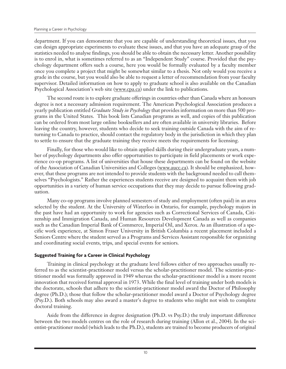department. If you can demonstrate that you are capable of understanding theoretical issues, that you can design appropriate experiments to evaluate these issues, and that you have an adequate grasp of the statistics needed to analyse findings, you should be able to obtain the necessary letter. Another possibility is to enrol in, what is sometimes referred to as an "Independent Study" course. Provided that the psychology department offers such a course, here you would be formally evaluated by a faculty member once you complete a project that might be somewhat similar to a thesis. Not only would you receive a grade in the course, but you would also be able to request a letter of recommendation from your faculty supervisor. Detailed information on how to apply to graduate school is also available on the Canadian Psychological Association's web site (www.cpa.ca) under the link to publications.

The second route is to explore graduate offerings in countries other than Canada where an honours degree is not a necessary admission requirement. The American Psychological Association produces a yearly publication entitled *Graduate Study in Psychology* that provides information on more than 500 programs in the United States. This book lists Canadian programs as well, and copies of this publication can be ordered from most large online booksellers and are often available in university libraries. Before leaving the country, however, students who decide to seek training outside Canada with the aim of returning to Canada to practice, should contact the regulatory body in the jurisdiction in which they plan to settle to ensure that the graduate training they receive meets the requirements for licensing.

Finally, for those who would like to obtain applied skills during their undergraduate years, a number of psychology departments also offer opportunities to participate in field placements or work experience co-op programs. A list of universities that house these departments can be found on the website of the Association of Canadian Universities and Colleges (www.aucc.ca). It should be emphasized, however, that these programs are not intended to provide students with the background needed to call themselves "Psychologists." Rather the experiences students receive are designed to acquaint them with job opportunities in a variety of human service occupations that they may decide to pursue following graduation.

Many co-op programs involve planned semesters of study and employment (often paid) in an area selected by the student. At the University of Waterloo in Ontario, for example, psychology majors in the past have had an opportunity to work for agencies such as Correctional Services of Canada, Citizenship and Immigration Canada, and Human Resources Development Canada as well as companies such as the Canadian Imperial Bank of Commerce, Imperial Oil, and Xerox. As an illustration of a specific work experience, at Simon Fraser University in British Columbia a recent placement included a Seniors Centre where the student served as a Programs and Services Assistant responsible for organizing and coordinating social events, trips, and special events for seniors.

#### **Suggested Training for a Career in Clinical Psychology**

Training in clinical psychology at the graduate level follows either of two approaches usually referred to as the scientist-practitioner model versus the scholar-practitioner model. The scientist-practitioner model was formally approved in 1949 whereas the scholar-practitioner model is a more recent innovation that received formal approval in 1973. While the final level of training under both models is the doctorate, schools that adhere to the scientist-practitioner model award the Doctor of Philosophy degree (Ph.D.); those that follow the scholar-practitioner model award a Doctor of Psychology degree (Psy.D.). Both schools may also award a master's degree to students who might not wish to complete doctoral training.

Aside from the difference in degree designation (Ph.D. vs Psy.D.) the truly important difference between the two models centres on the role of research during training (Allon et al., 2004). In the scientist-practitioner model (which leads to the Ph.D.), students are trained to become producers of original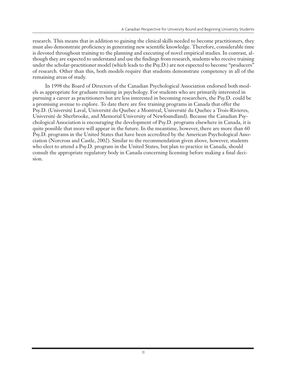research. This means that in addition to gaining the clinical skills needed to become practitioners, they must also demonstrate proficiency in generating new scientific knowledge. Therefore, considerable time is devoted throughout training to the planning and executing of novel empirical studies. In contrast, although they are expected to understand and use the findings from research, students who receive training under the scholar-practitioner model (which leads to the Psy.D.) are not expected to become "producers" of research. Other than this, both models require that students demonstrate competency in all of the remaining areas of study.

In 1998 the Board of Directors of the Canadian Psychological Association endorsed both models as appropriate for graduate training in psychology. For students who are primarily interested in pursuing a career as practitioners but are less interested in becoming researchers, the Psy.D. could be a promising avenue to explore. To date there are five training programs in Canada that offer the Psy.D. (Université Laval, Université du Quebec a Montreal, Université du Quebec a Trois-Rivieres, Université de Sherbrooke, and Memorial University of Newfoundland). Because the Canadian Psychological Association is encouraging the development of Psy.D. programs elsewhere in Canada, it is quite possible that more will appear in the future. In the meantime, however, there are more than 60 Psy.D. programs in the United States that have been accredited by the American Psychological Association (Norcross and Castle, 2002). Similar to the recommendation given above, however, students who elect to attend a Psy.D. program in the United States, but plan to practice in Canada, should consult the appropriate regulatory body in Canada concerning licensing before making a final decision.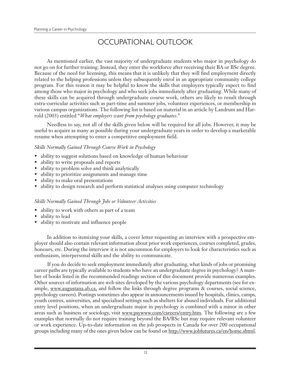# OCCUPATIONAL OUTLOOK

As mentioned earlier, the vast majority of undergraduate students who major in psychology do not go on for further training. Instead, they enter the workforce after receiving their BA or BSc degree. Because of the need for licensing, this means that it is unlikely that they will find employment directly related to the helping professions unless they subsequently enrol in an appropriate community college program. For this reason it may be helpful to know the skills that employers typically expect to find among those who major in psychology and who seek jobs immediately after graduating. While many of these skills can be acquired through undergraduate course work, others are likely to result through extra-curricular activities such as part-time and summer jobs, volunteer experiences, or membership in various campus organizations. The following list is based on material in an article by Landrum and Harrold (2003) entitled "*What employers want from psychology graduates*."

Needless to say, not all of the skills given below will be required for all jobs. However, it may be useful to acquire as many as possible during your undergraduate years in order to develop a marketable resume when attempting to enter a competitive employment field.

#### *Skills Normally Gained Through Course Work in Psychology*

- ability to suggest solutions based on knowledge of human behaviour
- ability to write proposals and reports
- ability to problem solve and think analytically
- ability to prioritize assignments and manage time
- ability to make oral presentations
- ability to design research and perform statistical analyses using computer technology

#### *Skills Normally Gained Through Jobs or Volunteer Activities*

- ability to work with others as part of a team
- ability to lead
- ability to motivate and influence people

In addition to itemizing your skills, a cover letter requesting an interview with a prospective employer should also contain relevant information about prior work experiences, courses completed, grades, honours, etc. During the interview it is not uncommon for employers to look for characteristics such as enthusiasm, interpersonal skills and the ability to communicate.

If you do decide to seek employment immediately after graduating, what kinds of jobs or promising career paths are typically available to students who have an undergraduate degree in psychology? A number of books listed in the recommended readings section of this document provide numerous examples. Other sources of information are web sites developed by the various psychology departments (see for example, www.augustana.ab.ca, and follow the links through degree programs & courses, social science, psychology careers). Postings sometimes also appear in announcements issued by hospitals, clinics, camps, youth centres, universities, and specialised settings such as shelters for abused individuals. For additional entry level positions, when an undergraduate major in psychology is combined with a minor in other areas such as business or sociology, visit www.psywww.com/careers/entry.htm. The following are a few examples that normally do not require training beyond the BA/BSc but may require relevant volunteer or work experience. Up-to-date information on the job prospects in Canada for over 200 occupational groups including many of the ones given below can be found on http://www.jobfutures.ca/en/home.shtml.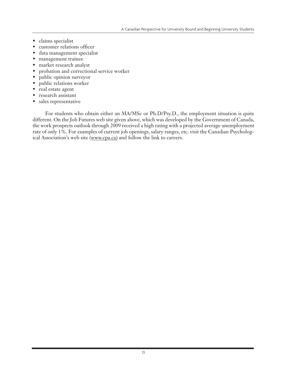- claims specialist
- customer relations officer
- data management specialist
- management trainee
- market research analyst
- probation and correctional service worker
- public opinion surveyor
- public relations worker
- real estate agent
- research assistant
- sales representative

For students who obtain either an MA/MSc or Ph.D/Psy.D., the employment situation is quite different. On the Job Futures web site given above, which was developed by the Government of Canada, the work prospects outlook through 2009 received a high rating with a projected average unemployment rate of only 1%. For examples of current job openings, salary ranges, etc. visit the Canadian Psychological Association's web site (www.cpa.ca) and follow the link to careers.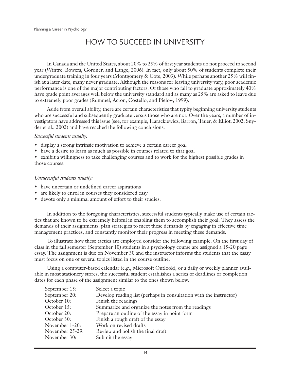# HOW TO SUCCEED IN UNIVERSITY

In Canada and the United States, about 20% to 25% of first year students do not proceed to second year (Wintre, Bowers, Gordner, and Lange, 2006). In fact, only about 50% of students complete their undergraduate training in four years (Montgomery & Cote, 2003). While perhaps another 25% will finish at a later date, many never graduate. Although the reasons for leaving university vary, poor academic performance is one of the major contributing factors. Of those who fail to graduate approximately 40% have grade point averages well below the university standard and as many as 25% are asked to leave due to extremely poor grades (Rummel, Acton, Costello, and Pielow, 1999).

Aside from overall ability, there are certain characteristics that typify beginning university students who are successful and subsequently graduate versus those who are not. Over the years, a number of investigators have addressed this issue (see, for example, Harackiewicz, Barron, Tauer, & Elliot, 2002; Snyder et al., 2002) and have reached the following conclusions.

#### *Successful students usually:*

- display a strong intrinsic motivation to achieve a certain career goal
- have a desire to learn as much as possible in courses related to that goal

• exhibit a willingness to take challenging courses and to work for the highest possible grades in those courses.

#### *Unsuccessful students usually:*

- have uncertain or undefined career aspirations
- are likely to enrol in courses they considered easy
- devote only a minimal amount of effort to their studies.

In addition to the foregoing characteristics, successful students typically make use of certain tactics that are known to be extremely helpful in enabling them to accomplish their goal. They assess the demands of their assignments, plan strategies to meet these demands by engaging in effective time management practices, and constantly monitor their progress in meeting these demands.

To illustrate how these tactics are employed consider the following example. On the first day of class in the fall semester (September 10) students in a psychology course are assigned a 15-20 page essay. The assignment is due on November 30 and the instructor informs the students that the essay must focus on one of several topics listed in the course outline.

Using a computer-based calendar (e.g., Microsoft Outlook), or a daily or weekly planner available in most stationery stores, the successful student establishes a series of deadlines or completion dates for each phase of the assignment similar to the ones shown below.

| September 15:   | Select a topic                                                     |
|-----------------|--------------------------------------------------------------------|
| September 20:   | Develop reading list (perhaps in consultation with the instructor) |
| October 10:     | Finish the readings                                                |
| October 15:     | Summarize and organize the notes from the readings                 |
| October 20:     | Prepare an outline of the essay in point form                      |
| October 30:     | Finish a rough draft of the essay                                  |
| November 1-20:  | Work on revised drafts                                             |
| November 25-29: | Review and polish the final draft                                  |
| November 30:    | Submit the essay                                                   |
|                 |                                                                    |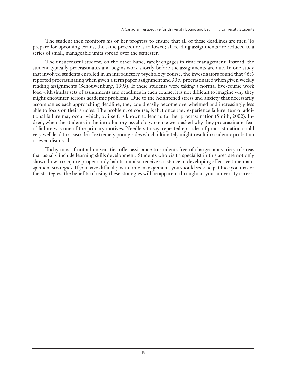The student then monitors his or her progress to ensure that all of these deadlines are met. To prepare for upcoming exams, the same procedure is followed; all reading assignments are reduced to a series of small, manageable units spread over the semester.

The unsuccessful student, on the other hand, rarely engages in time management. Instead, the student typically procrastinates and begins work shortly before the assignments are due. In one study that involved students enrolled in an introductory psychology course, the investigators found that 46% reported procrastinating when given a term paper assignment and 30% procrastinated when given weekly reading assignments (Schouwenburg, 1995). If these students were taking a normal five-course work load with similar sets of assignments and deadlines in each course, it is not difficult to imagine why they might encounter serious academic problems. Due to the heightened stress and anxiety that necessarily accompanies each approaching deadline, they could easily become overwhelmed and increasingly less able to focus on their studies. The problem, of course, is that once they experience failure, fear of additional failure may occur which, by itself, is known to lead to further procrastination (Smith, 2002). Indeed, when the students in the introductory psychology course were asked why they procrastinate, fear of failure was one of the primary motives. Needless to say, repeated episodes of procrastination could very well lead to a cascade of extremely poor grades which ultimately might result in academic probation or even dismissal.

Today most if not all universities offer assistance to students free of charge in a variety of areas that usually include learning skills development. Students who visit a specialist in this area are not only shown how to acquire proper study habits but also receive assistance in developing effective time management strategies. If you have difficulty with time management, you should seek help. Once you master the strategies, the benefits of using these strategies will be apparent throughout your university career.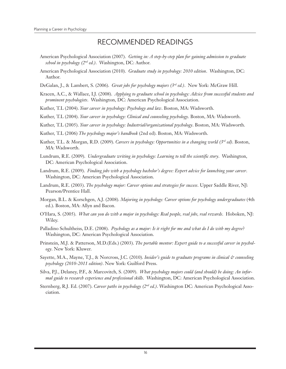### RECOMMENDED READINGS

- American Psychological Association (2007). *Getting in: A step-by-step plan for gaining admission to graduate school in psychology (2nd ed.)*. Washington, DC: Author.
- American Psychological Association (2010). *Graduate study in psychology: 2010 edition*. Washington, DC: Author.
- DeGalan, J., & Lambert, S. (2006). *Great jobs for psychology majors (3rd ed.)*. New York: McGraw Hill.
- Kracen, A.C., & Wallace, I.J. (2008). *Applying to graduate school in psychology: Advice from successful students and prominent psychologists*. Washington, DC: American Psychological Association.
- Kuther, T.L (2004). *Your career in psychology: Psychology and law*. Boston, MA: Wadsworth.
- Kuther, T.L (2004). *Your career in psychology: Clinical and counseling psychology*. Boston, MA: Wadsworth.
- Kuther, T.L (2005). *Your career in psychology: Industrial/organizational psychology*. Boston, MA: Wadsworth.
- Kuther, T.L (2006) *The psychology major's handbook* (2nd ed). Boston, MA: Wadsworth.
- Kuther, T.L. & Morgan, R.D. (2009). *Careers in psychology: Opportunities in a changing world (3rd ed)*. Boston, MA: Wadsworth.
- Lundrum, R.E. (2009). *Undergraduate writing in psychology: Learning to tell the scientific story*. Washington, DC: American Psychological Association.
- Landrum, R.E. (2009). *Finding jobs with a psychology bachelor's degree: Expert advice for launching your career*. Washington, DC: American Psychological Association.
- Landrum, R.E. (2003). *The psychology major: Career options and strategies for success*. Upper Saddle River, NJ: Pearson/Prentice Hall.
- Morgan, B.L. & Korschgen, A.J. (2008). *Majoring in psychology: Career options for psychology undergraduates* (4th ed.). Boston, MA: Allyn and Bacon.
- O'Hara, S. (2005). *What can you do with a major in psychology: Real people, real jobs, real rewards*. Hoboken, NJ: Wiley.
- Palladino Schultheiss, D.E. (2008). *Psychology as a major: Is it right for me and what do I do with my degree*? Washington, DC: American Psychological Association.
- Prinstein, M.J. & Patterson, M.D.(Eds.) (2003). *The portable mentor: Expert guide to a successful career in psychology*. New York: Kluwer.
- Sayette, M.A., Mayne, T.J., & Norcross, J.C. (2010). *Insider's guide to graduate programs in clinical & counseling psychology (2010-2011 edition)*. New York: Guilford Press.
- Silva, P.J., Delaney, P.F., & Marcovitch, S. (2009). *What psychology majors could (and should) be doing: An informal guide to research experience and professional skills*. Washington, DC: American Psychological Association.
- Sternberg, R.J. Ed. (2007). *Career paths in psychology (2nd ed.)*. Washington DC: American Psychological Association.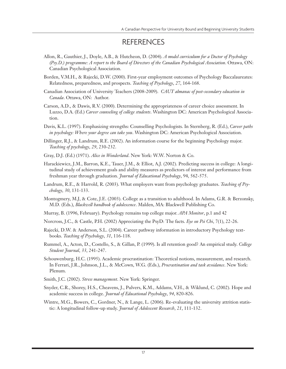### **REFERENCES**

- Allon, R., Gauthier, J., Doyle, A.B., & Hutcheon, D. (2004). *A model curriculum for a Doctor of Psychology (Psy.D.) programme: A report to the Board of Directors of the Canadian Psychological Association*. Ottawa, ON: Canadian Psychological Association.
- Borden, V.M.H., & Rajecki, D.W. (2000). First-year employment outcomes of Psychology Baccalaureates: Relatedness, preparedness, and prospects. *Teaching of Psychology*, *27*, 164-168.
- Canadian Association of University Teachers (2008-2009). *CAUT almanac of post-secondary education in Canada*. Ottawa, ON: Author.
- Carson, A.D., & Dawis, R.V. (2000). Determining the appropriateness of career choice assessment. In Luzzo, D.A. (Ed.) *Career counseling of college students*. Washington DC: American Psychological Association.
- Davis, K.L. (1997). Emphasizing strengths: Counselling Psychologists. In Sternberg, R. (Ed.), *Career paths in psychology: Where your degree can take you*. Washington DC: American Psychological Association.
- Dillinger, R.J., & Landrum, R.E. (2002). An information course for the beginning Psychology major. *Teaching of psychology*, *29*, 230-232.
- Gray, D.J. (Ed.) (1971). *Alice in Wonderland*. New York: W.W. Norton & Co.
- Harackiewicz, J.M., Barron, K.E., Tauer, J.M., & Elliot, A.J. (2002). Predicting success in college: A longitudinal study of achievement goals and ability measures as predictors of interest and performance from freshman year through graduation. *Journal of Educational Psychology*, 94, 562-575.
- Landrum, R.E., & Harrold, R. (2003). What employers want from psychology graduates. *Teaching of Psychology*, *30*, 131-133.
- Montogmery, M.J, & Cote, J.E. (2003). College as a transition to adulthood. In Adams, G.R. & Berzonsky, M.D. (Eds.), *Blackwell handbook of adolescence*. Malden, MA: Blackwell Publishing Co.
- Murray, B. (1996, February). Psychology remains top college major. *APA Monitor*, p.1 and 42
- Norcross, J.C., & Castle, P.H. (2002) Appreciating the PsyD: The facts. *Eye on Psi Chi*, 7(1), 22-26.
- Rajecki, D.W. & Anderson, S.L. (2004). Career pathway information in introductory Psychology textbooks. *Teaching of Psychology*, *31*, 116-118.
- Rummel, A., Acton, D., Costello, S., & Gillan, P. (1999). Is all retention good? An empirical study. *College Student Journal*, *33*, 241-247.
- Schouwenburg, H.C. (1995). Academic procrastination: Theoretical notions, measurement, and research. In Ferrari, J.R., Johnson, J.L., & McCown, W.G. (Eds.), *Procrastination and task avoidance*. New York: Plenum.
- Smith, J.C. (2002). *Stress management*. New York: Springer.
- Snyder, C.R., Shorey, H.S., Cheavens, J., Pulvers, K.M., Addams, V.H., & Wiklund, C. (2002). Hope and academic success in college. *Journal of Educational Psychology*, *94*, 820-826.
- Wintre, M.G., Bowers, C., Gordner, N., & Lange, L. (2006). Re-evaluating the university attrition statistic: A longitudinal follow-up study. *Journal of Adolescent Research*, *21*, 111-132.